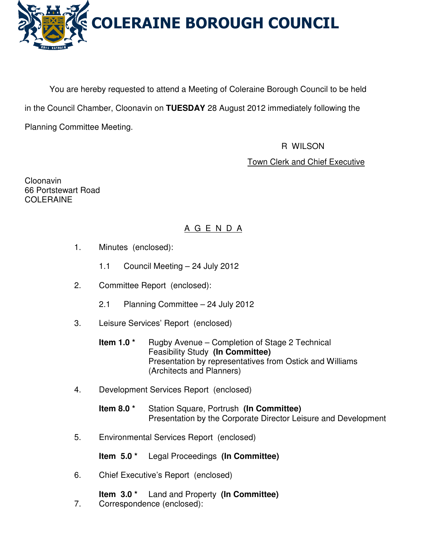

You are hereby requested to attend a Meeting of Coleraine Borough Council to be held in the Council Chamber, Cloonavin on **TUESDAY** 28 August 2012 immediately following the Planning Committee Meeting.

R WILSON

Town Clerk and Chief Executive

Cloonavin 66 Portstewart Road COLERAINE

# A G E N D A

- 1. Minutes (enclosed):
	- 1.1 Council Meeting 24 July 2012
- 2. Committee Report (enclosed):
	- 2.1 Planning Committee 24 July 2012
- 3. Leisure Services' Report (enclosed)
	- **Item 1.0 \*** Rugby Avenue Completion of Stage 2 Technical Feasibility Study **(In Committee)** Presentation by representatives from Ostick and Williams (Architects and Planners)
- 4. Development Services Report (enclosed)

**Item 8.0 \*** Station Square, Portrush **(In Committee)**  Presentation by the Corporate Director Leisure and Development

5. Environmental Services Report (enclosed)

**Item 5.0 \*** Legal Proceedings **(In Committee)** 

- 6. Chief Executive's Report (enclosed)
	- **Item 3.0 \*** Land and Property **(In Committee)**
- 7. Correspondence (enclosed):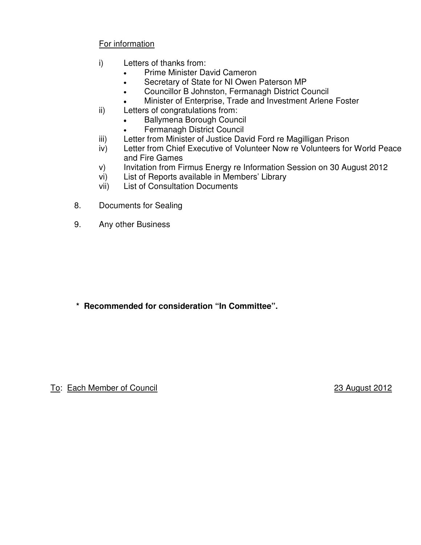# For information

- i) Letters of thanks from:
	- Prime Minister David Cameron
	- Secretary of State for NI Owen Paterson MP
	- Councillor B Johnston, Fermanagh District Council
	- Minister of Enterprise, Trade and Investment Arlene Foster
- ii) Letters of congratulations from:
	- Ballymena Borough Council
	- Fermanagh District Council
- iii) Letter from Minister of Justice David Ford re Magilligan Prison
- iv) Letter from Chief Executive of Volunteer Now re Volunteers for World Peace and Fire Games
- v) Invitation from Firmus Energy re Information Session on 30 August 2012
- vi) List of Reports available in Members' Library
- vii) List of Consultation Documents
- 8. Documents for Sealing
- 9. Any other Business

**\* Recommended for consideration "In Committee".** 

To: Each Member of Council 23 August 2012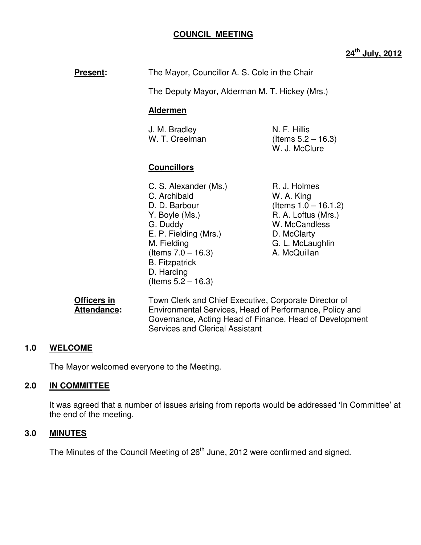### **COUNCIL MEETING**

# **24th July, 2012**

**Present:** The Mayor, Councillor A. S. Cole in the Chair

The Deputy Mayor, Alderman M. T. Hickey (Mrs.)

#### **Aldermen**

J. M. Bradley N. F. Hillis W. T. Creelman  $($ Items  $5.2 - 16.3)$ 

W. J. McClure

#### **Councillors**

- C. S. Alexander (Ms.) R. J. Holmes C. Archibald W. A. King D. D. Barbour (Items 1.0 – 16.1.2) Y. Boyle (Ms.) R. A. Loftus (Mrs.) G. Duddy W. McCandless E. P. Fielding (Mrs.) D. McClarty M. Fielding G. L. McLaughlin  $($ ltems  $7.0 - 16.3)$  A. McQuillan B. Fitzpatrick D. Harding (Items 5.2 – 16.3)
- 

**Officers in** Town Clerk and Chief Executive, Corporate Director of **Attendance:** Environmental Services, Head of Performance, Policy and Governance, Acting Head of Finance, Head of Development Services and Clerical Assistant

#### **1.0 WELCOME**

The Mayor welcomed everyone to the Meeting.

#### **2.0 IN COMMITTEE**

It was agreed that a number of issues arising from reports would be addressed 'In Committee' at the end of the meeting.

#### **3.0 MINUTES**

The Minutes of the Council Meeting of 26<sup>th</sup> June, 2012 were confirmed and signed.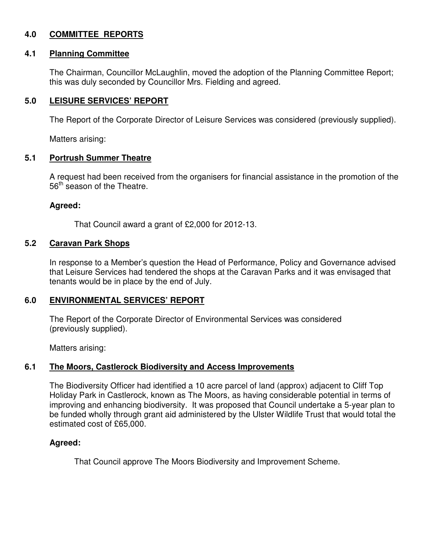# **4.0 COMMITTEE REPORTS**

### **4.1 Planning Committee**

The Chairman, Councillor McLaughlin, moved the adoption of the Planning Committee Report; this was duly seconded by Councillor Mrs. Fielding and agreed.

# **5.0 LEISURE SERVICES' REPORT**

The Report of the Corporate Director of Leisure Services was considered (previously supplied).

Matters arising:

#### **5.1 Portrush Summer Theatre**

A request had been received from the organisers for financial assistance in the promotion of the 56<sup>th</sup> season of the Theatre.

### **Agreed:**

That Council award a grant of £2,000 for 2012-13.

### **5.2 Caravan Park Shops**

In response to a Member's question the Head of Performance, Policy and Governance advised that Leisure Services had tendered the shops at the Caravan Parks and it was envisaged that tenants would be in place by the end of July.

# **6.0 ENVIRONMENTAL SERVICES' REPORT**

The Report of the Corporate Director of Environmental Services was considered (previously supplied).

Matters arising:

# **6.1 The Moors, Castlerock Biodiversity and Access Improvements**

The Biodiversity Officer had identified a 10 acre parcel of land (approx) adjacent to Cliff Top Holiday Park in Castlerock, known as The Moors, as having considerable potential in terms of improving and enhancing biodiversity. It was proposed that Council undertake a 5-year plan to be funded wholly through grant aid administered by the Ulster Wildlife Trust that would total the estimated cost of £65,000.

# **Agreed:**

That Council approve The Moors Biodiversity and Improvement Scheme.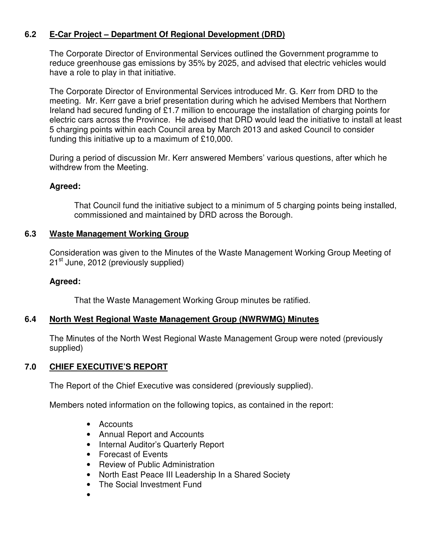# **6.2 E-Car Project – Department Of Regional Development (DRD)**

The Corporate Director of Environmental Services outlined the Government programme to reduce greenhouse gas emissions by 35% by 2025, and advised that electric vehicles would have a role to play in that initiative.

The Corporate Director of Environmental Services introduced Mr. G. Kerr from DRD to the meeting. Mr. Kerr gave a brief presentation during which he advised Members that Northern Ireland had secured funding of £1.7 million to encourage the installation of charging points for electric cars across the Province. He advised that DRD would lead the initiative to install at least 5 charging points within each Council area by March 2013 and asked Council to consider funding this initiative up to a maximum of £10,000.

During a period of discussion Mr. Kerr answered Members' various questions, after which he withdrew from the Meeting.

### **Agreed:**

That Council fund the initiative subject to a minimum of 5 charging points being installed, commissioned and maintained by DRD across the Borough.

#### **6.3 Waste Management Working Group**

Consideration was given to the Minutes of the Waste Management Working Group Meeting of 21<sup>st</sup> June, 2012 (previously supplied)

#### **Agreed:**

That the Waste Management Working Group minutes be ratified.

#### **6.4 North West Regional Waste Management Group (NWRWMG) Minutes**

 The Minutes of the North West Regional Waste Management Group were noted (previously supplied)

# **7.0 CHIEF EXECUTIVE'S REPORT**

The Report of the Chief Executive was considered (previously supplied).

Members noted information on the following topics, as contained in the report:

- Accounts
- Annual Report and Accounts
- Internal Auditor's Quarterly Report
- Forecast of Events
- Review of Public Administration
- North East Peace III Leadership In a Shared Society
- The Social Investment Fund
- •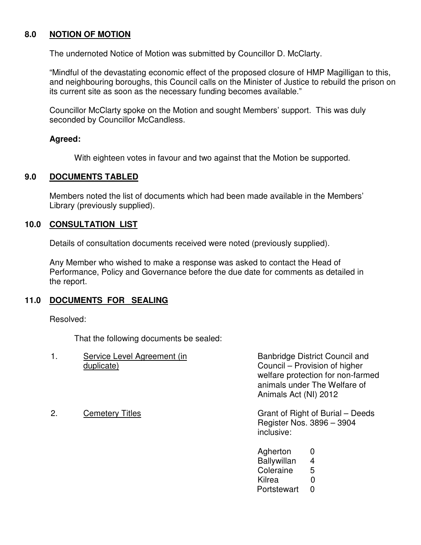### **8.0 NOTION OF MOTION**

The undernoted Notice of Motion was submitted by Councillor D. McClarty.

"Mindful of the devastating economic effect of the proposed closure of HMP Magilligan to this, and neighbouring boroughs, this Council calls on the Minister of Justice to rebuild the prison on its current site as soon as the necessary funding becomes available."

Councillor McClarty spoke on the Motion and sought Members' support. This was duly seconded by Councillor McCandless.

#### **Agreed:**

With eighteen votes in favour and two against that the Motion be supported.

#### **9.0 DOCUMENTS TABLED**

 Members noted the list of documents which had been made available in the Members' Library (previously supplied).

#### **10.0 CONSULTATION LIST**

Details of consultation documents received were noted (previously supplied).

 Any Member who wished to make a response was asked to contact the Head of Performance, Policy and Governance before the due date for comments as detailed in the report.

# **11.0 DOCUMENTS FOR SEALING**

Resolved:

That the following documents be sealed:

|    | Service Level Agreement (in<br>duplicate) | Animals Act (NI) 2012                                                | <b>Banbridge District Council and</b><br>Council – Provision of higher<br>welfare protection for non-farmed<br>animals under The Welfare of |
|----|-------------------------------------------|----------------------------------------------------------------------|---------------------------------------------------------------------------------------------------------------------------------------------|
| 2. | <b>Cemetery Titles</b>                    | inclusive:                                                           | Grant of Right of Burial – Deeds<br>Register Nos. 3896 - 3904                                                                               |
|    |                                           | Agherton<br><b>Ballywillan</b><br>Coleraine<br>Kilrea<br>Portstewart | 0<br>4<br>5<br>$\mathbf 0$<br>0                                                                                                             |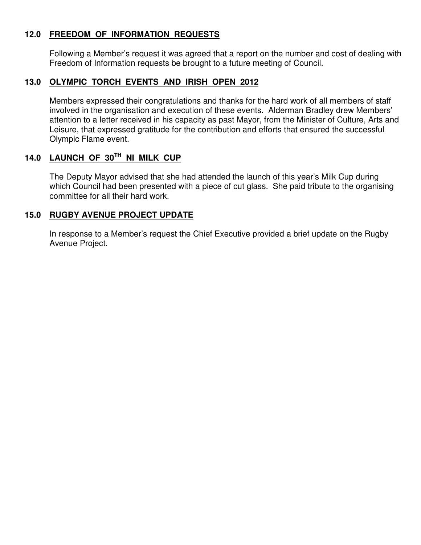### **12.0 FREEDOM OF INFORMATION REQUESTS**

Following a Member's request it was agreed that a report on the number and cost of dealing with Freedom of Information requests be brought to a future meeting of Council.

# **13.0 OLYMPIC TORCH EVENTS AND IRISH OPEN 2012**

Members expressed their congratulations and thanks for the hard work of all members of staff involved in the organisation and execution of these events. Alderman Bradley drew Members' attention to a letter received in his capacity as past Mayor, from the Minister of Culture, Arts and Leisure, that expressed gratitude for the contribution and efforts that ensured the successful Olympic Flame event.

# **14.0 LAUNCH OF 30TH NI MILK CUP**

The Deputy Mayor advised that she had attended the launch of this year's Milk Cup during which Council had been presented with a piece of cut glass. She paid tribute to the organising committee for all their hard work.

### **15.0 RUGBY AVENUE PROJECT UPDATE**

In response to a Member's request the Chief Executive provided a brief update on the Rugby Avenue Project.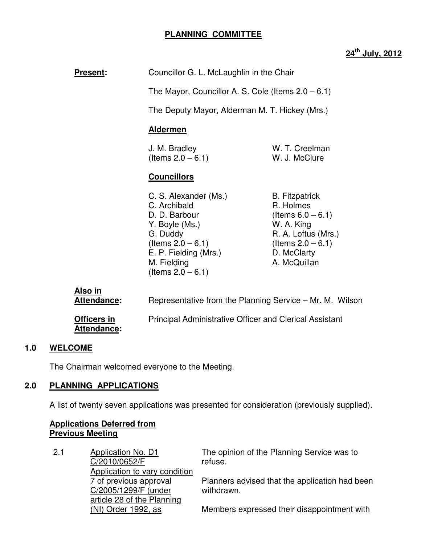# **PLANNING COMMITTEE**

# **24th July, 2012**

**Present:** Councillor G. L. McLaughlin in the Chair

The Mayor, Councillor A. S. Cole (Items 2.0 – 6.1)

The Deputy Mayor, Alderman M. T. Hickey (Mrs.)

#### **Aldermen**

| J. M. Bradley        | W. T. Creelman |
|----------------------|----------------|
| (Items $2.0 - 6.1$ ) | W. J. McClure  |

#### **Councillors**

- C. S. Alexander (Ms.) B. Fitzpatrick C. Archibald **R. Holmes** D. D. Barbour (Items  $6.0 - 6.1$ ) Y. Boyle (Ms.) W. A. King G. Duddy **R. A. Loftus (Mrs.)**  $($ ltems  $2.0 - 6.1)$  (Items  $2.0 - 6.1)$ E. P. Fielding (Mrs.) D. McClarty M. Fielding **A. McQuillan**  $($ ltems  $2.0 - 6.1)$
- 

| Also in<br>Attendance:            | Representative from the Planning Service – Mr. M. Wilson       |
|-----------------------------------|----------------------------------------------------------------|
| Officers in<br><b>Attendance:</b> | <b>Principal Administrative Officer and Clerical Assistant</b> |

#### **1.0 WELCOME**

The Chairman welcomed everyone to the Meeting.

#### **2.0 PLANNING APPLICATIONS**

A list of twenty seven applications was presented for consideration (previously supplied).

#### **Applications Deferred from Previous Meeting**

2.1 Application No. D1 C/2010/0652/F Application to vary condition 7 of previous approval C/2005/1299/F (under article 28 of the Planning (NI) Order 1992, as The opinion of the Planning Service was to refuse. Planners advised that the application had been withdrawn. Members expressed their disappointment with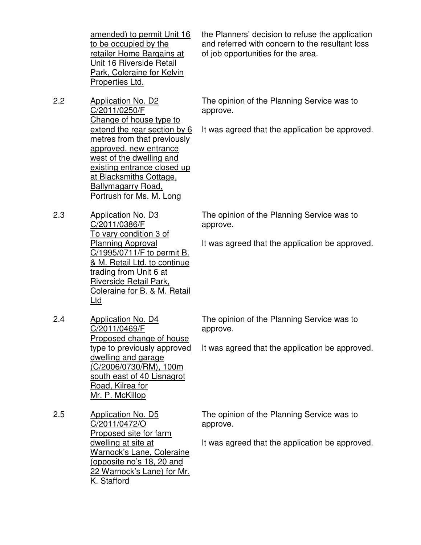amended) to permit Unit 16 to be occupied by the retailer Home Bargains at Unit 16 Riverside Retail Park, Coleraine for Kelvin Properties Ltd.

the Planners' decision to refuse the application and referred with concern to the resultant loss of job opportunities for the area.

2.2 Application No. D2 C/2011/0250/F Change of house type to extend the rear section by 6 metres from that previously approved, new entrance west of the dwelling and existing entrance closed up at Blacksmiths Cottage, Ballymagarry Road, Portrush for Ms. M. Long

The opinion of the Planning Service was to approve.

It was agreed that the application be approved.

2.3 Application No. D3 C/2011/0386/F To vary condition 3 of Planning Approval C/1995/0711/F to permit B. & M. Retail Ltd. to continue trading from Unit 6 at Riverside Retail Park, Coleraine for B. & M. Retail Ltd

The opinion of the Planning Service was to approve.

It was agreed that the application be approved.

2.4 Application No. D4 C/2011/0469/F Proposed change of house type to previously approved dwelling and garage (C/2006/0730/RM), 100m south east of 40 Lisnagrot Road, Kilrea for Mr. P. McKillop

The opinion of the Planning Service was to approve.

It was agreed that the application be approved.

The opinion of the Planning Service was to approve.

It was agreed that the application be approved.

2.5 Application No. D5 C/2011/0472/O Proposed site for farm dwelling at site at Warnock's Lane, Coleraine (opposite no's 18, 20 and 22 Warnock's Lane) for Mr. K. Stafford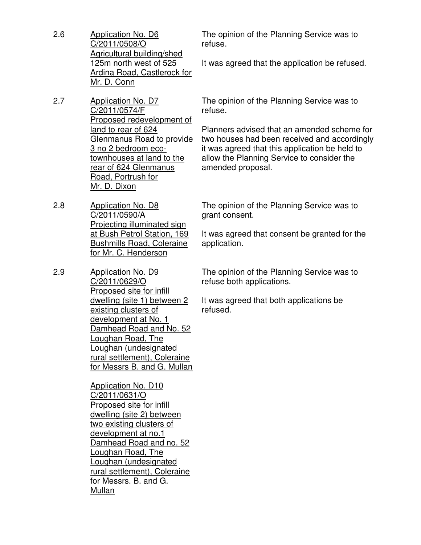2.6 Application No. D6 C/2011/0508/O Agricultural building/shed 125m north west of 525 Ardina Road, Castlerock for Mr. D. Conn

2.7 Application No. D7 C/2011/0574/F Proposed redevelopment of land to rear of 624 Glenmanus Road to provide 3 no 2 bedroom ecotownhouses at land to the rear of 624 Glenmanus Road, Portrush for Mr. D. Dixon

2.8 Application No. D8 C/2011/0590/A Projecting illuminated sign at Bush Petrol Station, 169 Bushmills Road, Coleraine for Mr. C. Henderson

2.9 Application No. D9 C/2011/0629/O Proposed site for infill dwelling (site 1) between 2 existing clusters of development at No. 1 Damhead Road and No. 52 Loughan Road, The Loughan (undesignated rural settlement), Coleraine for Messrs B. and G. Mullan

> Application No. D10 C/2011/0631/O Proposed site for infill dwelling (site 2) between two existing clusters of development at no.1 Damhead Road and no. 52 Loughan Road, The Loughan (undesignated rural settlement), Coleraine for Messrs. B. and G. Mullan

The opinion of the Planning Service was to refuse.

It was agreed that the application be refused.

The opinion of the Planning Service was to refuse.

Planners advised that an amended scheme for two houses had been received and accordingly it was agreed that this application be held to allow the Planning Service to consider the amended proposal.

The opinion of the Planning Service was to grant consent.

It was agreed that consent be granted for the application.

The opinion of the Planning Service was to refuse both applications.

It was agreed that both applications be refused.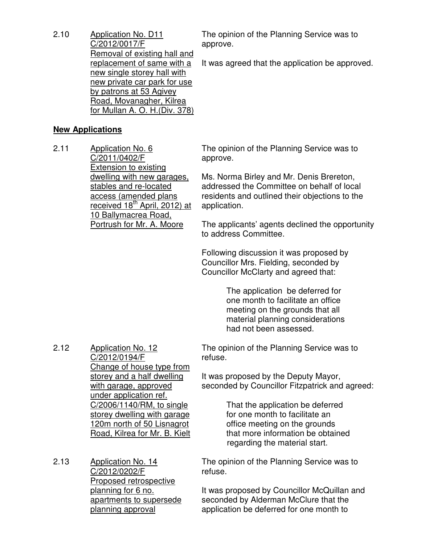2.10 Application No. D11 C/2012/0017/F Removal of existing hall and replacement of same with a new single storey hall with new private car park for use by patrons at 53 Agivey Road, Movanagher, Kilrea for Mullan A. O. H.(Div. 378)

The opinion of the Planning Service was to approve.

It was agreed that the application be approved.

#### **New Applications**

2.11 Application No. 6 C/2011/0402/F Extension to existing dwelling with new garages, stables and re-located access (amended plans received 18<sup>th</sup> April, 2012) at 10 Ballymacrea Road, Portrush for Mr. A. Moore

The opinion of the Planning Service was to approve.

Ms. Norma Birley and Mr. Denis Brereton, addressed the Committee on behalf of local residents and outlined their objections to the application.

The applicants' agents declined the opportunity to address Committee.

Following discussion it was proposed by Councillor Mrs. Fielding, seconded by Councillor McClarty and agreed that:

> The application be deferred for one month to facilitate an office meeting on the grounds that all material planning considerations had not been assessed.

2.12 Application No. 12 C/2012/0194/F Change of house type from storey and a half dwelling with garage, approved under application ref. C/2006/1140/RM, to single storey dwelling with garage 120m north of 50 Lisnagrot Road, Kilrea for Mr. B. Kielt

2.13 Application No. 14 C/2012/0202/F Proposed retrospective planning for 6 no. apartments to supersede planning approval

The opinion of the Planning Service was to refuse.

It was proposed by the Deputy Mayor, seconded by Councillor Fitzpatrick and agreed:

> That the application be deferred for one month to facilitate an office meeting on the grounds that more information be obtained regarding the material start.

The opinion of the Planning Service was to refuse.

It was proposed by Councillor McQuillan and seconded by Alderman McClure that the application be deferred for one month to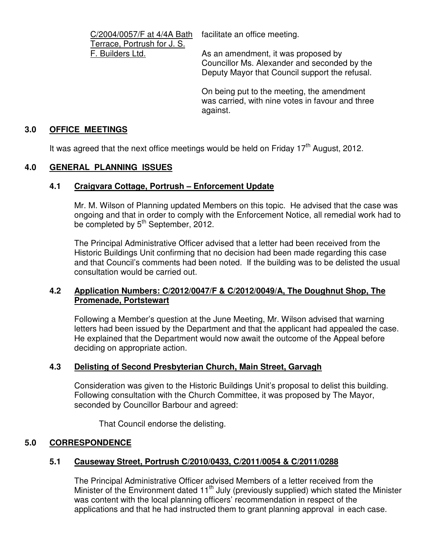C/2004/0057/F at 4/4A Bath Terrace, Portrush for J. S. F. Builders Ltd.

facilitate an office meeting.

As an amendment, it was proposed by Councillor Ms. Alexander and seconded by the Deputy Mayor that Council support the refusal.

On being put to the meeting, the amendment was carried, with nine votes in favour and three against.

# **3.0 OFFICE MEETINGS**

It was agreed that the next office meetings would be held on Friday  $17<sup>th</sup>$  August, 2012.

# **4.0 GENERAL PLANNING ISSUES**

### **4.1 Craigvara Cottage, Portrush – Enforcement Update**

Mr. M. Wilson of Planning updated Members on this topic. He advised that the case was ongoing and that in order to comply with the Enforcement Notice, all remedial work had to be completed by 5<sup>th</sup> September, 2012.

The Principal Administrative Officer advised that a letter had been received from the Historic Buildings Unit confirming that no decision had been made regarding this case and that Council's comments had been noted. If the building was to be delisted the usual consultation would be carried out.

### **4.2 Application Numbers: C/2012/0047/F & C/2012/0049/A, The Doughnut Shop, The Promenade, Portstewart**

 Following a Member's question at the June Meeting, Mr. Wilson advised that warning letters had been issued by the Department and that the applicant had appealed the case. He explained that the Department would now await the outcome of the Appeal before deciding on appropriate action.

# **4.3 Delisting of Second Presbyterian Church, Main Street, Garvagh**

 Consideration was given to the Historic Buildings Unit's proposal to delist this building. Following consultation with the Church Committee, it was proposed by The Mayor, seconded by Councillor Barbour and agreed:

That Council endorse the delisting.

# **5.0 CORRESPONDENCE**

# **5.1 Causeway Street, Portrush C/2010/0433, C/2011/0054 & C/2011/0288**

The Principal Administrative Officer advised Members of a letter received from the Minister of the Environment dated 11<sup>th</sup> July (previously supplied) which stated the Minister was content with the local planning officers' recommendation in respect of the applications and that he had instructed them to grant planning approval in each case.